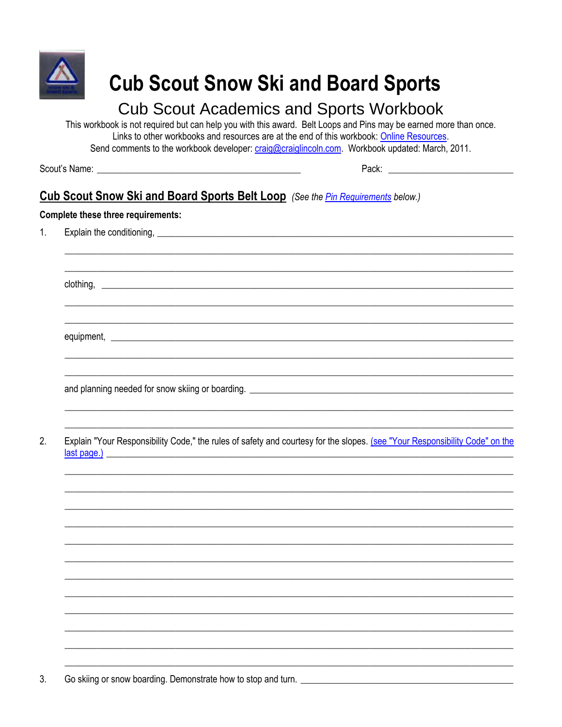

# **Cub Scout Snow Ski and Board Sports**

# **Cub Scout Academics and Sports Workbook**

This workbook is not required but can help you with this award. Belt Loops and Pins may be earned more than once. Links to other workbooks and resources are at the end of this workbook: Online Resources. Send comments to the workbook developer: craig@craiglincoln.com. Workbook updated: March, 2011.

### Cub Scout Snow Ski and Board Sports Belt Loop (See the *Pin Requirements below.*)

#### **Complete these three requirements:**

 $2.$ Explain "Your Responsibility Code," the rules of safety and courtesy for the slopes. (see "Your Responsibility Code" on the last page.)

 $3.$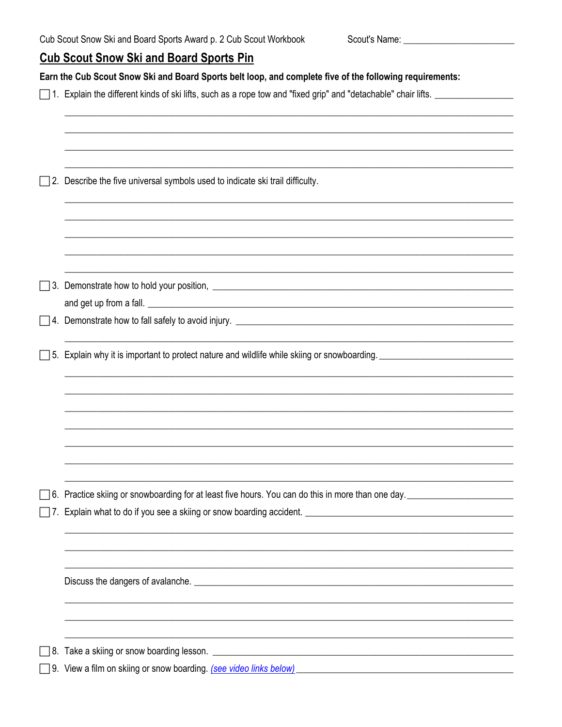<span id="page-1-0"></span>Scout's Name: <u>\_\_\_\_\_\_\_\_\_\_\_\_\_\_\_\_\_\_\_\_\_\_\_\_\_\_\_\_\_\_\_\_\_</u>

## **Cub Scout Snow Ski and Board Sports Pin**

|  | Earn the Cub Scout Snow Ski and Board Sports belt loop, and complete five of the following requirements:                                                                                     |  |  |  |  |  |
|--|----------------------------------------------------------------------------------------------------------------------------------------------------------------------------------------------|--|--|--|--|--|
|  |                                                                                                                                                                                              |  |  |  |  |  |
|  |                                                                                                                                                                                              |  |  |  |  |  |
|  |                                                                                                                                                                                              |  |  |  |  |  |
|  | $\Box$ 2. Describe the five universal symbols used to indicate ski trail difficulty.                                                                                                         |  |  |  |  |  |
|  |                                                                                                                                                                                              |  |  |  |  |  |
|  |                                                                                                                                                                                              |  |  |  |  |  |
|  |                                                                                                                                                                                              |  |  |  |  |  |
|  |                                                                                                                                                                                              |  |  |  |  |  |
|  | □ 5. Explain why it is important to protect nature and wildlife while skiing or snowboarding. ■ 15. Explain why it is important to protect nature and wildlife while skiing or snowboarding. |  |  |  |  |  |
|  |                                                                                                                                                                                              |  |  |  |  |  |
|  |                                                                                                                                                                                              |  |  |  |  |  |
|  |                                                                                                                                                                                              |  |  |  |  |  |
|  |                                                                                                                                                                                              |  |  |  |  |  |
|  | □ 6. Practice skiing or snowboarding for at least five hours. You can do this in more than one day.                                                                                          |  |  |  |  |  |
|  |                                                                                                                                                                                              |  |  |  |  |  |
|  |                                                                                                                                                                                              |  |  |  |  |  |
|  |                                                                                                                                                                                              |  |  |  |  |  |
|  |                                                                                                                                                                                              |  |  |  |  |  |
|  |                                                                                                                                                                                              |  |  |  |  |  |
|  |                                                                                                                                                                                              |  |  |  |  |  |
|  |                                                                                                                                                                                              |  |  |  |  |  |